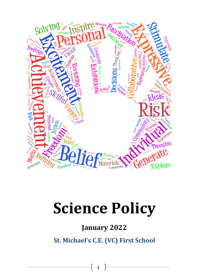

# **Science Policy**

# **January 2022**

**St. Michael's C.E. (VC) First School**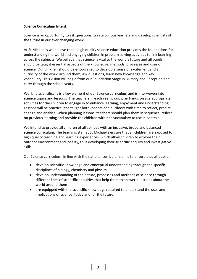#### **Science Curriculum Intent:**

Science is an opportunity to ask questions, create curious learners and develop scientists of the future in our ever changing world.

At St Michael's we believe that a high quality science education provides the foundations for understanding the world and engaging children in problem solving activities to link learning across the subjects. We believe that science is vital to the world's future and all pupils should be taught essential aspects of the knowledge, methods, processes and uses of science. Our children should be encouraged to develop a sense of excitement and a curiosity of the world around them, ask questions, learn new knowledge and key vocabulary. This vision will begin from our Foundation Stage in Nursery and Reception and carry through the school years.

Working scientifically is a key element of our Science curriculum and is interwoven into science topics and lessons. The teachers in each year group plan hands on age appropriate activities for the children to engage in to enhance learning, enjoyment and understanding. Lessons will be practical and taught both indoors and outdoors with time to reflect, predict, change and analyse. When planning lessons, teachers should plan them in sequence, reflect on previous learning and provide the children with rich vocabulary to use in context.

We intend to provide all children of all abilities with an inclusive, broad and balanced science curriculum. The teaching staff at St Michael's ensure that all children are exposed to high quality teaching and learning experiences, which allow children to explore their outdoor environment and locality, thus developing their scientific enquiry and investigative skills.

Our Science curriculum, in line with the national curriculum, aims to ensure that all pupils:

- develop scientific knowledge and conceptual understanding through the specific disciplines of biology, chemistry and physics
- develop understanding of the nature, processes and methods of science through different lines of scientific enquiries that help them to answer questions about the world around them
- are equipped with the scientific knowledge required to understand the uses and implications of science, today and for the future.

**2**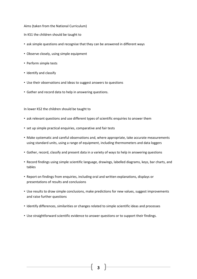Aims (taken from the National Curriculum)

In KS1 the children should be taught to

- ask simple questions and recognise that they can be answered in different ways
- Observe closely, using simple equipment
- Perform simple tests
- Identify and classify
- Use their observations and ideas to suggest answers to questions
- Gather and record data to help in answering questions.

In lower KS2 the children should be taught to

- ask relevant questions and use different types of scientific enquiries to answer them
- set up simple practical enquiries, comparative and fair tests
- Make systematic and careful observations and, where appropriate, take accurate measurements using standard units, using a range of equipment, including thermometers and data loggers
- Gather, record, classify and present data in a variety of ways to help in answering questions
- Record findings using simple scientific language, drawings, labelled diagrams, keys, bar charts, and tables
- Report on findings from enquiries, including oral and written explanations, displays or presentations of results and conclusions
- Use results to draw simple conclusions, make predictions for new values, suggest improvements and raise further questions
- Identify differences, similarities or changes related to simple scientific ideas and processes
- Use straightforward scientific evidence to answer questions or to support their findings.

**3**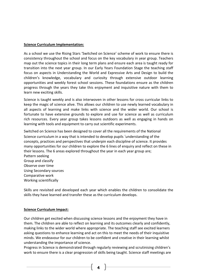#### **Science Curriculum Implementation:**

As a school we use the Rising Stars 'Switched on Science' scheme of work to ensure there is consistency throughout the school and focus on the key vocabulary in year group. Teachers map out the science topics in their long term plans and ensure each area is taught ready for transition into the next year group. In our Early Years Foundation Stage the teaching staff focus on aspects in Understanding the World and Expressive Arts and Design to build the children's knowledge, vocabulary and curiosity through extensive outdoor learning opportunities and weekly forest school sessions. These foundations ensure as the children progress through the years they take this enjoyment and inquisitive nature with them to learn new exciting skills.

Science is taught weekly and is also interwoven in other lessons for cross curricular links to keep the magic of science alive. This allows our children to use newly learned vocabulary in all aspects of learning and make links with science and the wider world. Our school is fortunate to have extensive grounds to explore and use for science as well as curriculum rich resources. Every year group takes lessons outdoors as well as engaging in hands on learning with tools and equipment to carry out scientific experiments.

Switched on Science has been designed to cover all the requirements of the National Science curriculum in a way that is intended to develop pupils 'understanding of the concepts, practices and perspectives that underpin each discipline of science. It provides many opportunities for our children to explore the 6 lines of enquiry and reflect on these in their lessons. The 6 areas explored throughout the year in each year group are; Pattern seeking Group and classify Observe over time Using Secondary sources Comparative work Working scientifically

Skills are revisited and developed each year which enables the children to consolidate the skills they have learned and transfer these as the curriculum develops.

#### **Science Curriculum Impact:**

Our children get excited when discussing science lessons and the enjoyment they have in them. The children are able to reflect on learning and its outcomes clearly and confidently, making links to the wider world where appropriate. The teaching staff see excited learners asking questions to enhance learning and act on this to meet the needs of their inquisitive minds. We endeavour for our children to be confident and creative in their learning whilst understanding the importance of science.

Progress in Science is demonstrated through regularly reviewing and scrutinising children's work to ensure there is a clear progression of skills being taught. Science staff meetings are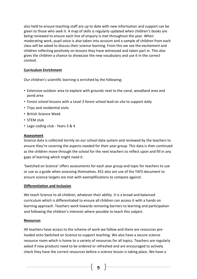also held to ensure teaching staff are up to date with new information and support can be given to those who seek it. A map of skills is regularly updated when children's books are being reviewed to ensure each line of enquiry is met throughout the year. When moderating work, pupil voice is also taken into account and a sample of children from each class will be asked to discuss their science learning. From this we see the excitement and children reflecting positively on lessons they have witnessed and taken part in. This also gives the children a chance to showcase the new vocabulary and use it in the correct context.

#### **Curriculum Enrichment**

Our children's scientific learning is enriched by the following;

- Extensive outdoor area to explore with grounds next to the canal, woodland area and pond area
- Forest school lessons with a Level 3 forest school lead on site to support daily
- Trips and residential visits
- British Science Week
- STEM club
- Lego coding club Years 3 & 4

#### **Assessment**

Science data is collected termly on our school data system and reviewed by the teachers to ensure they're covering the aspects needed for their year group. This data is then continued as the children move through the school for the next teachers to reflect upon and fill in any gaps of learning which might need it.

'Switched on Science' offers assessments for each year group and topic for teachers to use or use as a guide when assessing themselves. KS1 also are use of the TAFS document to ensure science targets are met with exemplifications to compare against.

#### **Differentiation and Inclusion**

We teach Science to all children, whatever their ability. It is a broad and balanced curriculum which is differentiated to ensure all children can access it with a hands on learning approach. Teachers work towards removing barriers to learning and participation and following the children's interests where possible to teach this subject.

#### **Resources**

All teachers have access to the scheme of work we follow and there are resources preloaded onto Switched on Science to support teaching. We also have a secure science resource room which is home to a variety of resources for all topics. Teachers are regularly asked if new products need to be ordered or refreshed and are encouraged to actively check they have the correct resources before a science lesson is taking place. We have a